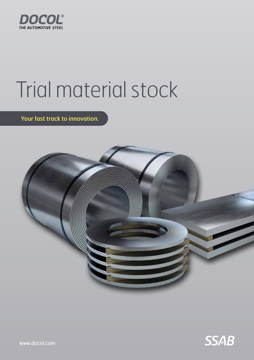

# Trial material stock

Your fast track to innovation.





www.docol.com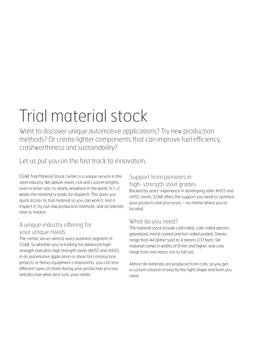## Trial material stock

Want to discover unique automotive applications? Try new production methods? Or create lighter components that can improve fuel efficiency, crashworthiness and sustainability?

Let us put you on the fast track to innovation.

SSAB Trial Material Stock Center is a unique service in the steel industry. We deliver sheet, coil and custom lengths, even in letter size, to nearly anywhere in the world. In 1–2 weeks the material is ready for dispatch. This gives you quick access to trial material so you can work it, test it, inspect it, try out new production methods, and accelerate time to market.

#### A unique industry offering for

#### your unique needs

The center serves almost every business segment of SSAB. So whether you're looking for advanced highstrength and ultra-high strength steels (AHSS and UHSS) in an automotive application or sheet for construction projects or heavy equipment components, you can test different types of steels during your production process and discover what best suits your needs.

#### Support from pioneers in

high-strength steel grades

Backed by years' experience in developing safer AHSS and UHSS steels, SSAB offers the support you need to optimize your products and processes – no matter where you're located.

#### What do you need?

The material stock include cold rolled, cold-rolled electrogalvanized, metal coated and hot-rolled pickled. Sheets range from A4 (letter size) to 4 meters (13.1 feet). Slit material comes in widths of 9 mm and higher, and coils range from one metric ton to full size.

Almost all materials are produced from coils, so you get a custom solution in exactly the right shape and form you need.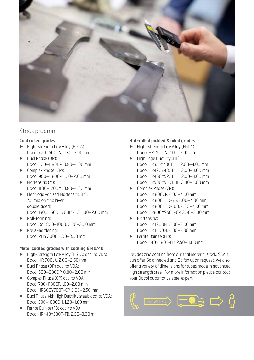

#### Stock program

#### **Cold rolled grades**

- ▶ High-Strength Low Alloy (HSLA): Docol 420–500LA, 0.80–3.00 mm
- $\blacktriangleright$  Dual Phase (DP): Docol 500–1180DP, 0.80–2.00 mm
- Complex Phase (CP): Docol 980–1180CP, 1.00–2.00 mm
- $\blacktriangleright$  Martensitic (M): Docol 1100–1700M, 0.80–2.00 mm
- Electrogalvanized Martensitic (M), 7.5 micron zinc layer double sided: Docol 1300, 1500, 1700M-EG, 1.00–2.00 mm
- ▶ Roll-forming: Docol Roll 800–1000, 0.80–2.00 mm
- $\blacktriangleright$  Press-hardening: Docol PHS 2000, 1.00–3.00 mm

#### **Metal coated grades with coating GI40/40**

- ▶ High-Strength Low Alloy (HSLA) acc. to VDA: Docol HR 700LA, 2.00–2.50 mm
- Dual Phase (DP) acc. to VDA: Docol 590–980DP, 0.80–2.00 mm
- ▶ Complex Phase (CP) acc. to VDA: Docol 780-1180CP, 1.00–2.00 mm Docol HR660Y760T-CP, 2.00–2.50 mm
- Dual Phase with High Ductility steels acc. to VDA: Docol 590–1000DH, 1.20–1.80 mm
- Ferrite Bainite (FB) acc. to VDA: Docol HR440Y580T-FB, 2.50–3.00 mm

#### **Hot-rolled pickled & oiled grades**

- High-Strength Low Alloy (HSLA): Docol HR 700LA, 2.00–3.00 mm
- $\blacktriangleright$  High Edge Ductility (HE): Docol HR355Y430T HE, 2.00–4.00 mm Docol HR420Y480T HE, 2.00–4.00 mm Docol HR460Y520T HE, 2.00–4.00 mm Docol HR500Y550T HE, 2.00–4.00 mm
- **Complex Phase (CP):** Docol HR 800CP, 2.00–4.00 mm Docol HR 800HER-75, 2.00–4.00 mm Docol HR 800HER-100, 2.00–4.00 mm Docol HR800Y950T-CP, 2.50–3.00 mm
- **Martensitic:** Docol HR 1200M, 2.00–3.00 mm Docol HR 1500M, 2.00–3.00 mm
- Ferrite Bainite (FB): Docol 440Y580T-FB, 2.50–4.00 mm

Besides zinc coating from our trial material stock, SSAB can offer Galannealed and Galfan upon request. We also offer a variety of dimensions for tubes made in advanced high strength steel. For more information please contact your Docol automotive steel expert.